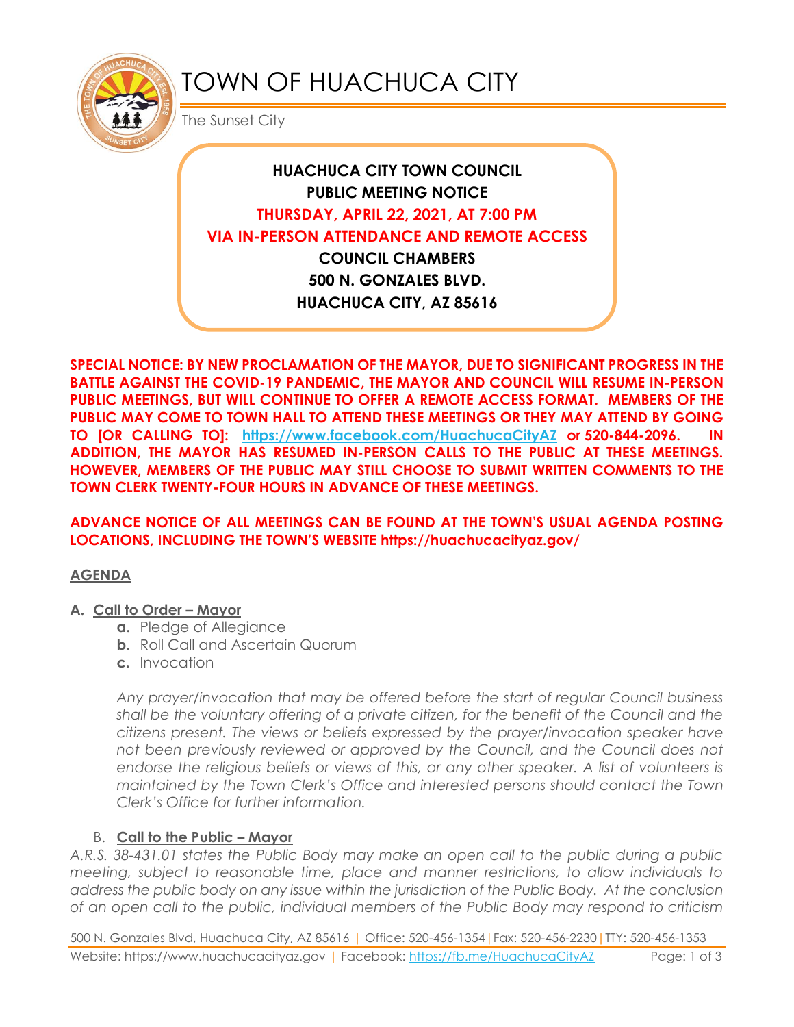

# TOWN OF HUACHUCA CITY

The Sunset City

# **HUACHUCA CITY TOWN COUNCIL PUBLIC MEETING NOTICE THURSDAY, APRIL 22, 2021, AT 7:00 PM VIA IN-PERSON ATTENDANCE AND REMOTE ACCESS COUNCIL CHAMBERS**

**500 N. GONZALES BLVD. HUACHUCA CITY, AZ 85616**

**SPECIAL NOTICE: BY NEW PROCLAMATION OF THE MAYOR, DUE TO SIGNIFICANT PROGRESS IN THE BATTLE AGAINST THE COVID-19 PANDEMIC, THE MAYOR AND COUNCIL WILL RESUME IN-PERSON PUBLIC MEETINGS, BUT WILL CONTINUE TO OFFER A REMOTE ACCESS FORMAT. MEMBERS OF THE PUBLIC MAY COME TO TOWN HALL TO ATTEND THESE MEETINGS OR THEY MAY ATTEND BY GOING TO [OR CALLING TO]: <https://www.facebook.com/HuachucaCityAZ> or 520-844-2096. IN ADDITION, THE MAYOR HAS RESUMED IN-PERSON CALLS TO THE PUBLIC AT THESE MEETINGS. HOWEVER, MEMBERS OF THE PUBLIC MAY STILL CHOOSE TO SUBMIT WRITTEN COMMENTS TO THE TOWN CLERK TWENTY-FOUR HOURS IN ADVANCE OF THESE MEETINGS.** 

### **ADVANCE NOTICE OF ALL MEETINGS CAN BE FOUND AT THE TOWN'S USUAL AGENDA POSTING LOCATIONS, INCLUDING THE TOWN'S WEBSITE https://huachucacityaz.gov/**

### **AGENDA**

### **A. Call to Order – Mayor**

- **a.** Pledge of Allegiance
- **b.** Roll Call and Ascertain Quorum
- **c.** Invocation

*Any prayer/invocation that may be offered before the start of regular Council business shall be the voluntary offering of a private citizen, for the benefit of the Council and the citizens present. The views or beliefs expressed by the prayer/invocation speaker have*  not been previously reviewed or approved by the Council, and the Council does not endorse the religious beliefs or views of this, or any other speaker. A list of volunteers is *maintained by the Town Clerk's Office and interested persons should contact the Town Clerk's Office for further information.*

# B. **Call to the Public – Mayor**

*A.R.S. 38-431.01 states the Public Body may make an open call to the public during a public meeting, subject to reasonable time, place and manner restrictions, to allow individuals to address the public body on any issue within the jurisdiction of the Public Body. At the conclusion of an open call to the public, individual members of the Public Body may respond to criticism* 

500 N. Gonzales Blvd, Huachuca City, AZ 85616 | Office: 520-456-1354|Fax: 520-456-2230|TTY: 520-456-1353 Website: https://www.huachucacityaz.gov | Facebook:<https://fb.me/HuachucaCityAZ> Page: 1 of 3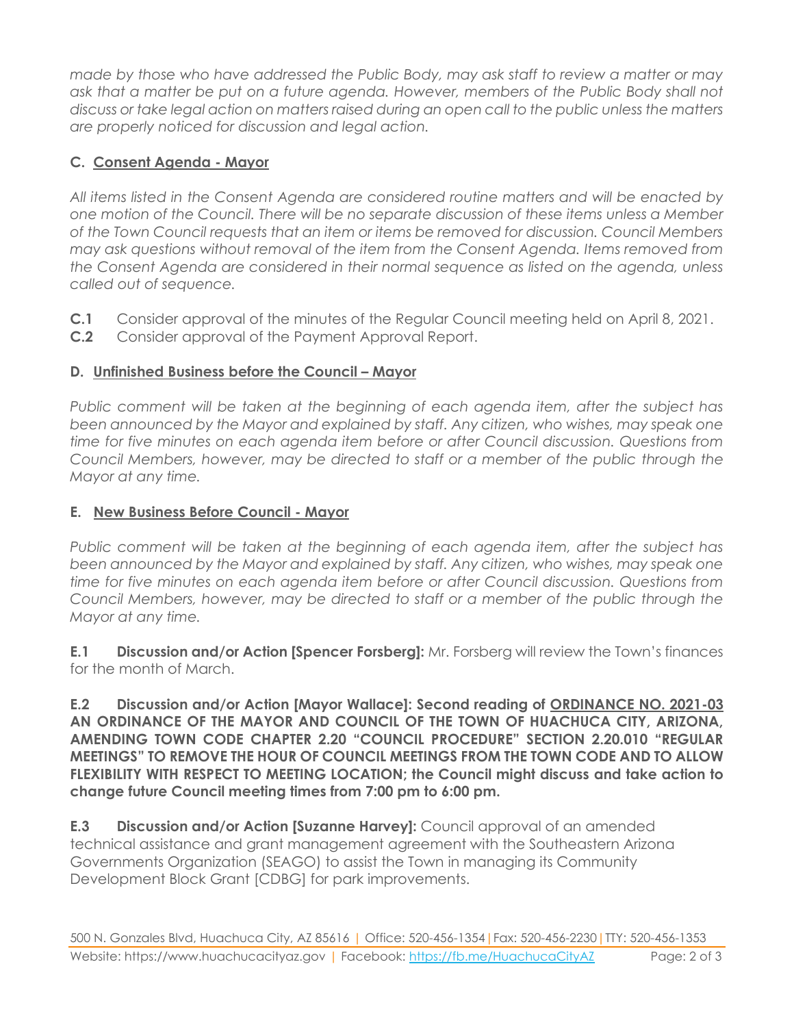*made by those who have addressed the Public Body, may ask staff to review a matter or may ask that a matter be put on a future agenda. However, members of the Public Body shall not discuss or take legal action on matters raised during an open call to the public unless the matters are properly noticed for discussion and legal action.*

# **C. Consent Agenda - Mayor**

*All items listed in the Consent Agenda are considered routine matters and will be enacted by one motion of the Council. There will be no separate discussion of these items unless a Member of the Town Council requests that an item or items be removed for discussion. Council Members may ask questions without removal of the item from the Consent Agenda. Items removed from the Consent Agenda are considered in their normal sequence as listed on the agenda, unless called out of sequence.*

- **C.1** Consider approval of the minutes of the Regular Council meeting held on April 8, 2021.
- **C.2** Consider approval of the Payment Approval Report.

# **D. Unfinished Business before the Council – Mayor**

*Public comment will be taken at the beginning of each agenda item, after the subject has*  been announced by the Mayor and explained by staff. Any citizen, who wishes, may speak one *time for five minutes on each agenda item before or after Council discussion. Questions from Council Members, however, may be directed to staff or a member of the public through the Mayor at any time.*

# **E. New Business Before Council - Mayor**

*Public comment will be taken at the beginning of each agenda item, after the subject has*  been announced by the Mayor and explained by staff. Any citizen, who wishes, may speak one *time for five minutes on each agenda item before or after Council discussion. Questions from Council Members, however, may be directed to staff or a member of the public through the Mayor at any time.* 

**E.1 Discussion and/or Action [Spencer Forsberg]:** Mr. Forsberg will review the Town's finances for the month of March.

**E.2 Discussion and/or Action [Mayor Wallace]: Second reading of ORDINANCE NO. 2021-03 AN ORDINANCE OF THE MAYOR AND COUNCIL OF THE TOWN OF HUACHUCA CITY, ARIZONA, AMENDING TOWN CODE CHAPTER 2.20 "COUNCIL PROCEDURE" SECTION 2.20.010 "REGULAR MEETINGS" TO REMOVE THE HOUR OF COUNCIL MEETINGS FROM THE TOWN CODE AND TO ALLOW FLEXIBILITY WITH RESPECT TO MEETING LOCATION; the Council might discuss and take action to change future Council meeting times from 7:00 pm to 6:00 pm.** 

**E.3 Discussion and/or Action [Suzanne Harvey]:** Council approval of an amended technical assistance and grant management agreement with the Southeastern Arizona Governments Organization (SEAGO) to assist the Town in managing its Community Development Block Grant [CDBG] for park improvements.